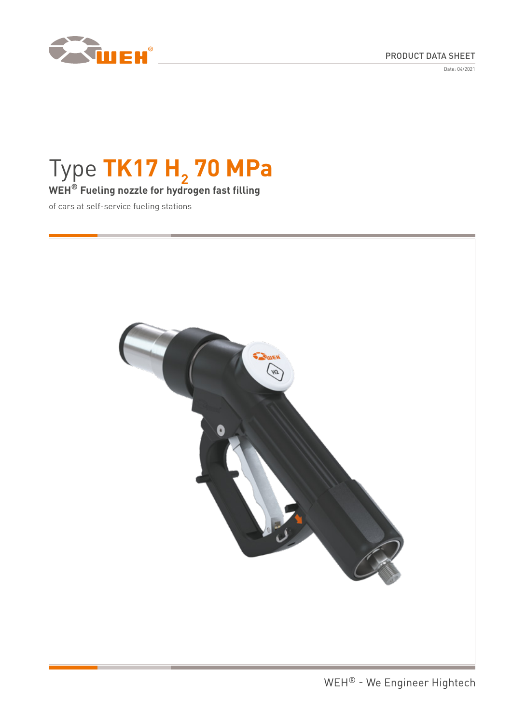

Date: 04/2021



# Type TK17 H<sub>2</sub> 70 MPa

# **WEH® Fueling nozzle for hydrogen fast filling**

of cars at self-service fueling stations

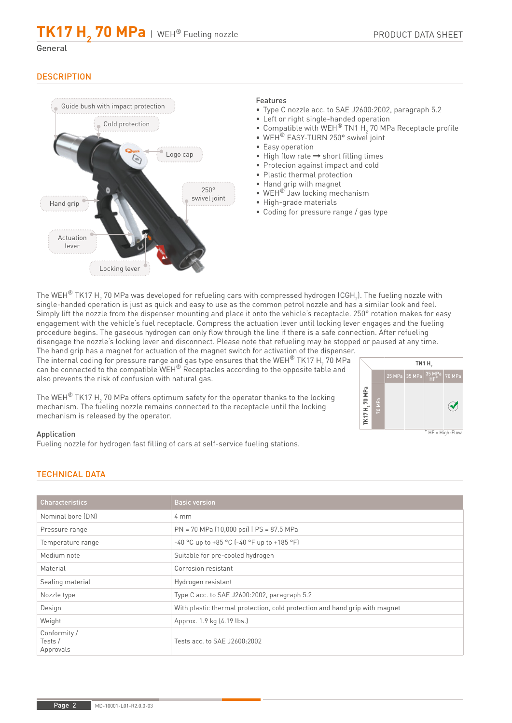# $TK17 H_{2}$  70 MPa | WEH® Fueling nozzle

General

# **DESCRIPTION**



### Features

- Type C nozzle acc. to SAE J2600:2002, paragraph 5.2
- Left or right single-handed operation
- Compatible with WEH<sup>®</sup> TN1 H<sub>2</sub> 70 MPa Receptacle profile
- WEH<sup>®</sup> EASY-TURN 250° swivel joint
- Easy operation
- $\bullet$  High flow rate  $\rightarrow$  short filling times
- Protecion against impact and cold
- Plastic thermal protection
- Hand grip with magnet
- WEH® Jaw locking mechanism
- High-grade materials
- Coding for pressure range / gas type

The WEH $^{\circledR}$  TK17 H $_2$  70 MPa was developed for refueling cars with compressed hydrogen (CGH $_2$ ). The fueling nozzle with single-handed operation is just as quick and easy to use as the common petrol nozzle and has a similar look and feel. Simply lift the nozzle from the dispenser mounting and place it onto the vehicle's receptacle. 250° rotation makes for easy engagement with the vehicle's fuel receptacle. Compress the actuation lever until locking lever engages and the fueling procedure begins. The gaseous hydrogen can only flow through the line if there is a safe connection. After refueling disengage the nozzle's locking lever and disconnect. Please note that refueling may be stopped or paused at any time.

The hand grip has a magnet for actuation of the magnet switch for activation of the dispenser. The internal coding for pressure range and gas type ensures that the WEH $^{\circledR}$  TK17 H $_2$  70 MPa can be connected to the compatible WEH® Receptacles according to the opposite table and also prevents the risk of confusion with natural gas.

The WEH $^\circledR$  TK17 H $_2$  70 MPa offers optimum safety for the operator thanks to the locking mechanism. The fueling nozzle remains connected to the receptacle until the locking



Application

Fueling nozzle for hydrogen fast filling of cars at self-service fueling stations.

# TECHNICAL DATA

mechanism is released by the operator.

| <b>Characteristics</b>               | <b>Basic version</b>                                                       |
|--------------------------------------|----------------------------------------------------------------------------|
| Nominal bore (DN)                    | $4 \text{ mm}$                                                             |
| Pressure range                       | PN = 70 MPa (10,000 psi)   PS = 87.5 MPa                                   |
| Temperature range                    | -40 °C up to +85 °C (-40 °F up to +185 °F)                                 |
| Medium note                          | Suitable for pre-cooled hydrogen                                           |
| Material                             | Corrosion resistant                                                        |
| Sealing material                     | Hydrogen resistant                                                         |
| Nozzle type                          | Type C acc. to SAE J2600:2002, paragraph 5.2                               |
| Design                               | With plastic thermal protection, cold protection and hand grip with magnet |
| Weight                               | Approx. 1.9 kg (4.19 lbs.)                                                 |
| Conformity /<br>Tests /<br>Approvals | Tests acc. to SAE J2600:2002                                               |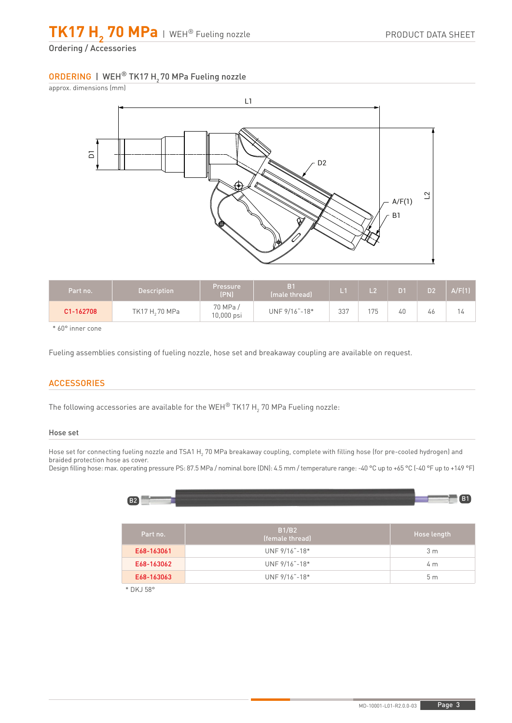$\textsf{T}$ K17  $\textsf{H}_{\textsf{2}}$  70 MPa | WEH® Fueling nozzle

Ordering / Accessories

# ORDERING | WEH® TK17 H<sub>2</sub> 70 MPa Fueling nozzle



| Part no.  | <b>Description</b> | Pressure<br>(PN)         | B <sub>1</sub><br>(male thread) |     |     |    | D <sub>2</sub> | A/F(1) |
|-----------|--------------------|--------------------------|---------------------------------|-----|-----|----|----------------|--------|
| C1-162708 | TK17 H, 70 MPa     | 70 MPa /<br>$10,000$ psi | UNF 9/16"-18*                   | 337 | 175 | 40 | 46             | (4     |

\* 60° inner cone

Fueling assemblies consisting of fueling nozzle, hose set and breakaway coupling are available on request.

# **ACCESSORIES**

The following accessories are available for the WEH $^\circ$  TK17 H $_2$  70 MPa Fueling nozzle:

#### Hose set

Hose set for connecting fueling nozzle and TSA1 H<sub>2</sub> 70 MPa breakaway coupling, complete with filling hose (for pre-cooled hydrogen) and braided protection hose as cover.

Design filling hose: max. operating pressure PS: 87.5 MPa / nominal bore (DN): 4.5 mm / temperature range: -40 °C up to +65 °C (-40 °F up to +149 °F)

| B <sub>2</sub> |                          | B1                 |
|----------------|--------------------------|--------------------|
| Part no.       | B1/B2<br>(female thread) | <b>Hose length</b> |
| E68-163061     | UNF 9/16"-18*            | 3 <sub>m</sub>     |
| E68-163062     | UNF 9/16"-18*            | 4 <sub>m</sub>     |
| E68-163063     | UNF 9/16"-18*            | 5 <sub>m</sub>     |

\* DKJ 58°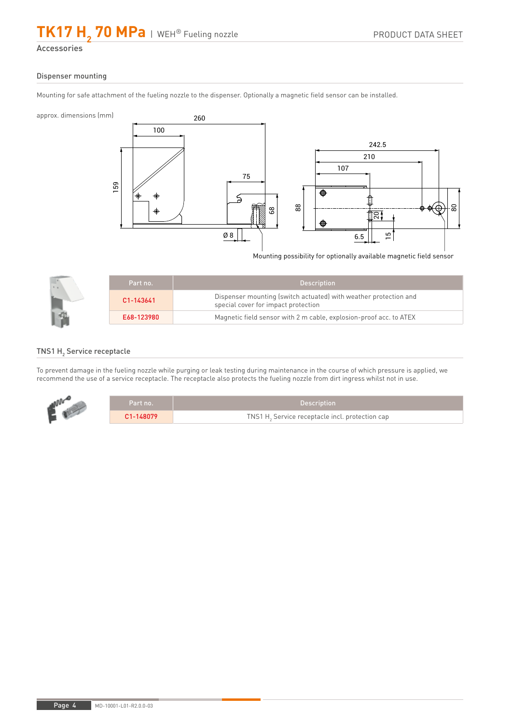# $TK17 H_{2}$  70 MPa | WEH® Fueling nozzle

Accessories

#### Dispenser mounting

Mounting for safe attachment of the fueling nozzle to the dispenser. Optionally a magnetic field sensor can be installed.

approx. dimensions (mm)



Mounting possibility for optionally available magnetic field sensor

| Part no.   | <b>Description</b>                                                                                      |
|------------|---------------------------------------------------------------------------------------------------------|
| C1-143641  | Dispenser mounting (switch actuated) with weather protection and<br>special cover for impact protection |
| E68-123980 | Magnetic field sensor with 2 m cable, explosion-proof acc. to ATEX                                      |

# TNS1  $\mathsf{H}_{\scriptscriptstyle{2}}$  Service receptacle

To prevent damage in the fueling nozzle while purging or leak testing during maintenance in the course of which pressure is applied, we recommend the use of a service receptacle. The receptacle also protects the fueling nozzle from dirt ingress whilst not in use.

|  | Part no.' | <b>Description</b>                                          |
|--|-----------|-------------------------------------------------------------|
|  | C1-148079 | TNS1 H <sub>2</sub> Service receptacle incl. protection cap |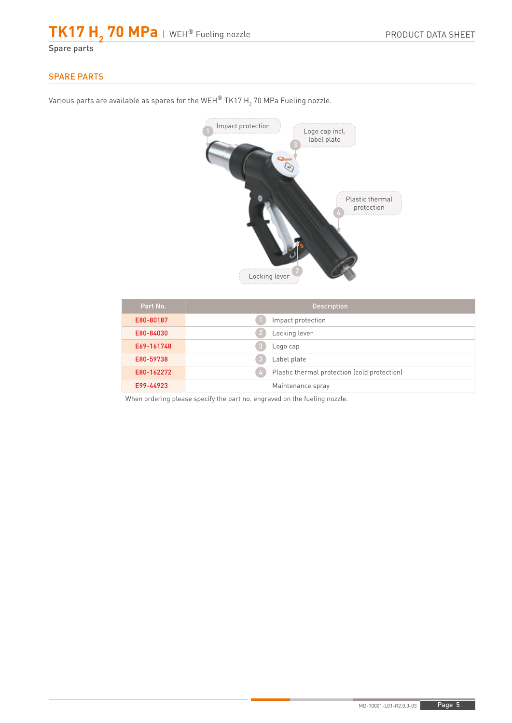# $\textsf{T}$ K17  $\textsf{H}_{\textsf{2}}$  70 MPa | WEH® Fueling nozzle

Spare parts

# SPARE PARTS

Various parts are available as spares for the WEH $^\circ$  TK17 H $_2$  70 MPa Fueling nozzle.

# Impact protection Logo cap incl. label plate  $\widehat{\mathscr{C}}$ Plastic thermal protection Locking lever

| Part No.   | <b>Description</b>                                 |
|------------|----------------------------------------------------|
| E80-80187  | Impact protection                                  |
| E80-84030  | Locking lever                                      |
| E69-161748 | Logo cap<br>ĸ                                      |
| E80-59738  | Label plate<br>B                                   |
| E80-162272 | Plastic thermal protection (cold protection)<br>-4 |
| E99-44923  | Maintenance spray                                  |

When ordering please specify the part no. engraved on the fueling nozzle.